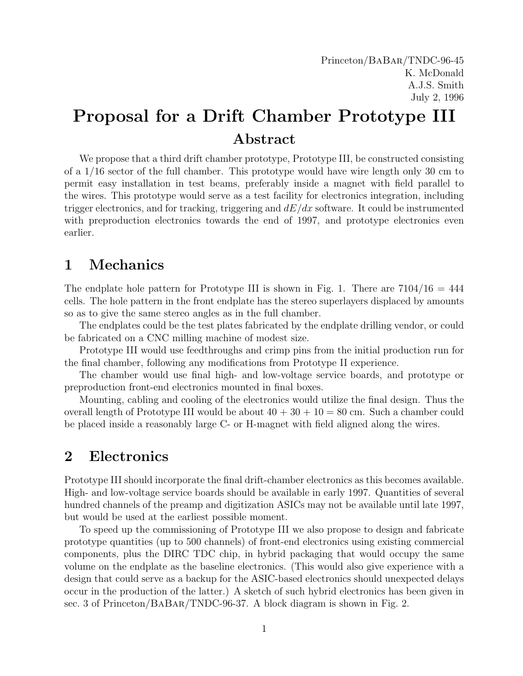## Proposal for a Drift Chamber Prototype III Abstract

We propose that a third drift chamber prototype, Prototype III, be constructed consisting of a 1/16 sector of the full chamber. This prototype would have wire length only 30 cm to permit easy installation in test beams, preferably inside a magnet with field parallel to the wires. This prototype would serve as a test facility for electronics integration, including trigger electronics, and for tracking, triggering and  $dE/dx$  software. It could be instrumented with preproduction electronics towards the end of 1997, and prototype electronics even earlier.

## 1 Mechanics

The endplate hole pattern for Prototype III is shown in Fig. 1. There are  $7104/16 = 444$ cells. The hole pattern in the front endplate has the stereo superlayers displaced by amounts so as to give the same stereo angles as in the full chamber.

The endplates could be the test plates fabricated by the endplate drilling vendor, or could be fabricated on a CNC milling machine of modest size.

Prototype III would use feedthroughs and crimp pins from the initial production run for the final chamber, following any modifications from Prototype II experience.

The chamber would use final high- and low-voltage service boards, and prototype or preproduction front-end electronics mounted in final boxes.

Mounting, cabling and cooling of the electronics would utilize the final design. Thus the overall length of Prototype III would be about  $40 + 30 + 10 = 80$  cm. Such a chamber could be placed inside a reasonably large C- or H-magnet with field aligned along the wires.

## 2 Electronics

Prototype III should incorporate the final drift-chamber electronics as this becomes available. High- and low-voltage service boards should be available in early 1997. Quantities of several hundred channels of the preamp and digitization ASICs may not be available until late 1997, but would be used at the earliest possible moment.

To speed up the commissioning of Prototype III we also propose to design and fabricate prototype quantities (up to 500 channels) of front-end electronics using existing commercial components, plus the DIRC TDC chip, in hybrid packaging that would occupy the same volume on the endplate as the baseline electronics. (This would also give experience with a design that could serve as a backup for the ASIC-based electronics should unexpected delays occur in the production of the latter.) A sketch of such hybrid electronics has been given in sec. 3 of Princeton/BaBar/TNDC-96-37. A block diagram is shown in Fig. 2.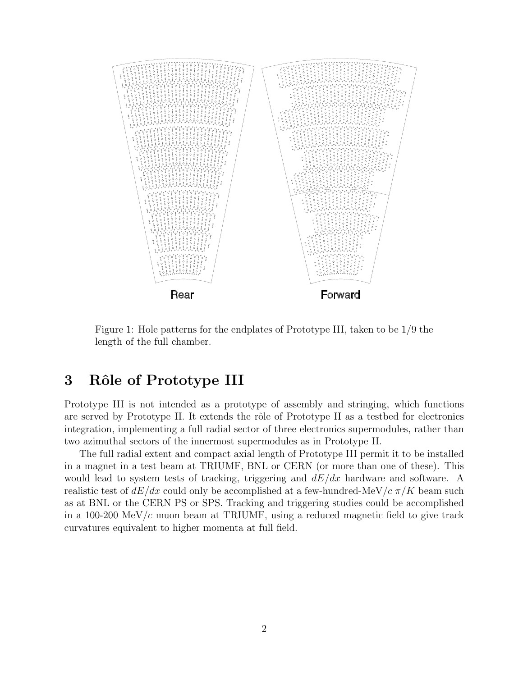

Figure 1: Hole patterns for the endplates of Prototype III, taken to be 1/9 the length of the full chamber.

## 3 Rôle of Prototype III

Prototype III is not intended as a prototype of assembly and stringing, which functions are served by Prototype II. It extends the rôle of Prototype II as a testbed for electronics integration, implementing a full radial sector of three electronics supermodules, rather than two azimuthal sectors of the innermost supermodules as in Prototype II.

The full radial extent and compact axial length of Prototype III permit it to be installed in a magnet in a test beam at TRIUMF, BNL or CERN (or more than one of these). This would lead to system tests of tracking, triggering and  $dE/dx$  hardware and software. A realistic test of  $dE/dx$  could only be accomplished at a few-hundred-MeV/ $c \pi/K$  beam such as at BNL or the CERN PS or SPS. Tracking and triggering studies could be accomplished in a 100-200 MeV/c muon beam at TRIUMF, using a reduced magnetic field to give track curvatures equivalent to higher momenta at full field.